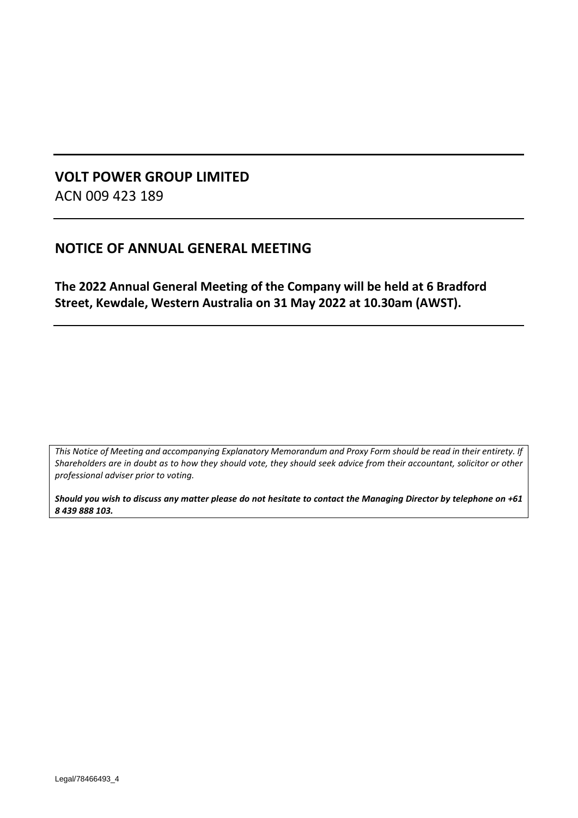# **VOLT POWER GROUP LIMITED** ACN 009 423 189

# **NOTICE OF ANNUAL GENERAL MEETING**

**The 2022 Annual General Meeting of the Company will be held at 6 Bradford Street, Kewdale, Western Australia on 31 May 2022 at 10.30am (AWST).**

*This Notice of Meeting and accompanying Explanatory Memorandum and Proxy Form should be read in their entirety. If Shareholders are in doubt as to how they should vote, they should seek advice from their accountant, solicitor or other professional adviser prior to voting.*

*Should you wish to discuss any matter please do not hesitate to contact the Managing Director by telephone on +61 8 439 888 103.*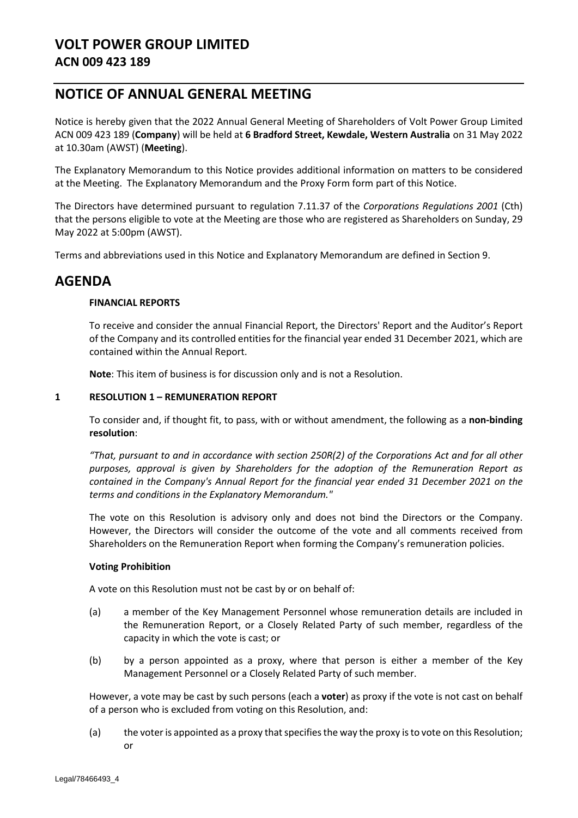# **VOLT POWER GROUP LIMITED ACN 009 423 189**

# **NOTICE OF ANNUAL GENERAL MEETING**

Notice is hereby given that the 2022 Annual General Meeting of Shareholders of Volt Power Group Limited ACN 009 423 189 (**Company**) will be held at **6 Bradford Street, Kewdale, Western Australia** on 31 May 2022 at 10.30am (AWST) (**Meeting**).

The Explanatory Memorandum to this Notice provides additional information on matters to be considered at the Meeting. The Explanatory Memorandum and the Proxy Form form part of this Notice.

The Directors have determined pursuant to regulation 7.11.37 of the *Corporations Regulations 2001* (Cth) that the persons eligible to vote at the Meeting are those who are registered as Shareholders on Sunday, 29 May 2022 at 5:00pm (AWST).

Terms and abbreviations used in this Notice and Explanatory Memorandum are defined in Section [9.](#page-10-0)

# **AGENDA**

## **FINANCIAL REPORTS**

To receive and consider the annual Financial Report, the Directors' Report and the Auditor's Report of the Company and its controlled entities for the financial year ended 31 December 2021, which are contained within the Annual Report.

**Note**: This item of business is for discussion only and is not a Resolution.

## <span id="page-1-0"></span>**1 RESOLUTIO[N 1](#page-1-0) – REMUNERATION REPORT**

To consider and, if thought fit, to pass, with or without amendment, the following as a **non-binding resolution**:

*"That, pursuant to and in accordance with section 250R(2) of the Corporations Act and for all other purposes, approval is given by Shareholders for the adoption of the Remuneration Report as contained in the Company's Annual Report for the financial year ended 31 December 2021 on the terms and conditions in the Explanatory Memorandum."*

The vote on this Resolution is advisory only and does not bind the Directors or the Company. However, the Directors will consider the outcome of the vote and all comments received from Shareholders on the Remuneration Report when forming the Company's remuneration policies.

## **Voting Prohibition**

A vote on this Resolution must not be cast by or on behalf of:

- (a) a member of the Key Management Personnel whose remuneration details are included in the Remuneration Report, or a Closely Related Party of such member, regardless of the capacity in which the vote is cast; or
- (b) by a person appointed as a proxy, where that person is either a member of the Key Management Personnel or a Closely Related Party of such member.

However, a vote may be cast by such persons (each a **voter**) as proxy if the vote is not cast on behalf of a person who is excluded from voting on this Resolution, and:

(a) the voter is appointed as a proxy that specifies the way the proxy is to vote on this Resolution; or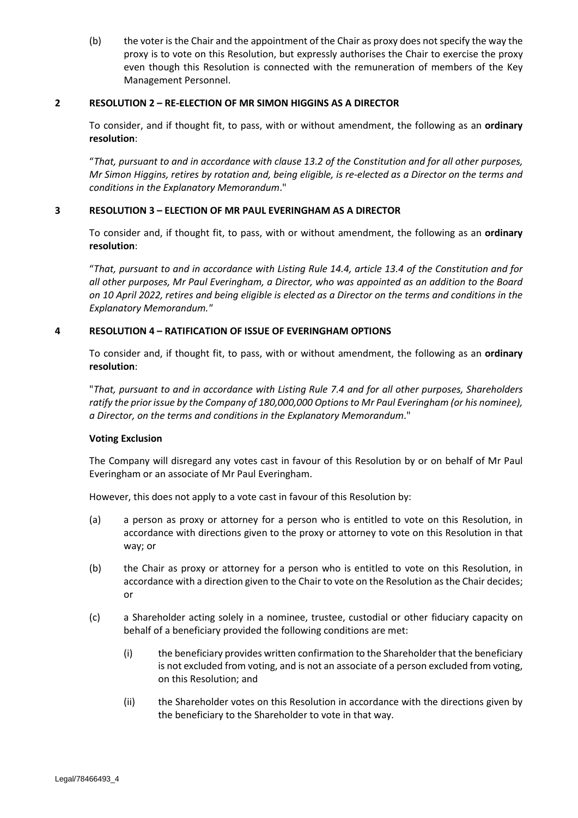(b) the voter is the Chair and the appointment of the Chair as proxy does not specify the way the proxy is to vote on this Resolution, but expressly authorises the Chair to exercise the proxy even though this Resolution is connected with the remuneration of members of the Key Management Personnel.

## <span id="page-2-0"></span>**2 RESOLUTIO[N 2](#page-2-0) – RE-ELECTION OF MR SIMON HIGGINS AS A DIRECTOR**

To consider, and if thought fit, to pass, with or without amendment, the following as an **ordinary resolution**:

"*That, pursuant to and in accordance with clause 13.2 of the Constitution and for all other purposes, Mr Simon Higgins, retires by rotation and, being eligible, is re-elected as a Director on the terms and conditions in the Explanatory Memorandum*."

## <span id="page-2-1"></span>**3 RESOLUTIO[N 3](#page-2-1) – ELECTION OF MR PAUL EVERINGHAM AS A DIRECTOR**

To consider and, if thought fit, to pass, with or without amendment, the following as an **ordinary resolution**:

"*That, pursuant to and in accordance with Listing Rule 14.4, article 13.4 of the Constitution and for all other purposes, Mr Paul Everingham, a Director, who was appointed as an addition to the Board on 10 April 2022, retires and being eligible is elected as a Director on the terms and conditions in the Explanatory Memorandum."*

## <span id="page-2-2"></span>**4 RESOLUTIO[N 4](#page-2-2) – RATIFICATION OF ISSUE OF EVERINGHAM OPTIONS**

To consider and, if thought fit, to pass, with or without amendment, the following as an **ordinary resolution**:

"*That, pursuant to and in accordance with Listing Rule 7.4 and for all other purposes, Shareholders ratify the prior issue by the Company of 180,000,000 Options to Mr Paul Everingham (or his nominee), a Director, on the terms and conditions in the Explanatory Memorandum*."

## **Voting Exclusion**

The Company will disregard any votes cast in favour of this Resolution by or on behalf of Mr Paul Everingham or an associate of Mr Paul Everingham.

However, this does not apply to a vote cast in favour of this Resolution by:

- (a) a person as proxy or attorney for a person who is entitled to vote on this Resolution, in accordance with directions given to the proxy or attorney to vote on this Resolution in that way; or
- (b) the Chair as proxy or attorney for a person who is entitled to vote on this Resolution, in accordance with a direction given to the Chair to vote on the Resolution as the Chair decides; or
- (c) a Shareholder acting solely in a nominee, trustee, custodial or other fiduciary capacity on behalf of a beneficiary provided the following conditions are met:
	- (i) the beneficiary provides written confirmation to the Shareholder that the beneficiary is not excluded from voting, and is not an associate of a person excluded from voting, on this Resolution; and
	- (ii) the Shareholder votes on this Resolution in accordance with the directions given by the beneficiary to the Shareholder to vote in that way.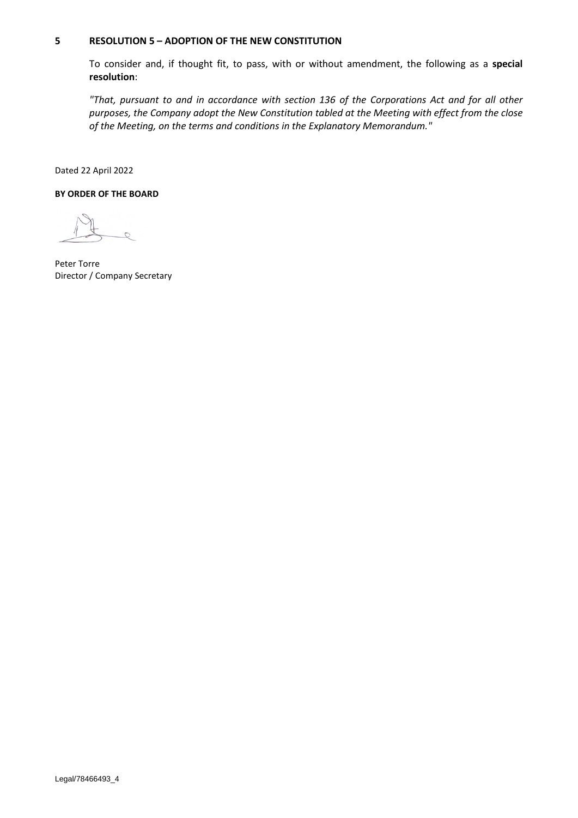## <span id="page-3-0"></span>**5 RESOLUTION 5 – ADOPTION OF THE NEW CONSTITUTION**

To consider and, if thought fit, to pass, with or without amendment, the following as a **special resolution**:

*"That, pursuant to and in accordance with section 136 of the Corporations Act and for all other purposes, the Company adopt the New Constitution tabled at the Meeting with effect from the close of the Meeting, on the terms and conditions in the Explanatory Memorandum."* 

Dated 22 April 2022

#### **BY ORDER OF THE BOARD**

Peter Torre Director / Company Secretary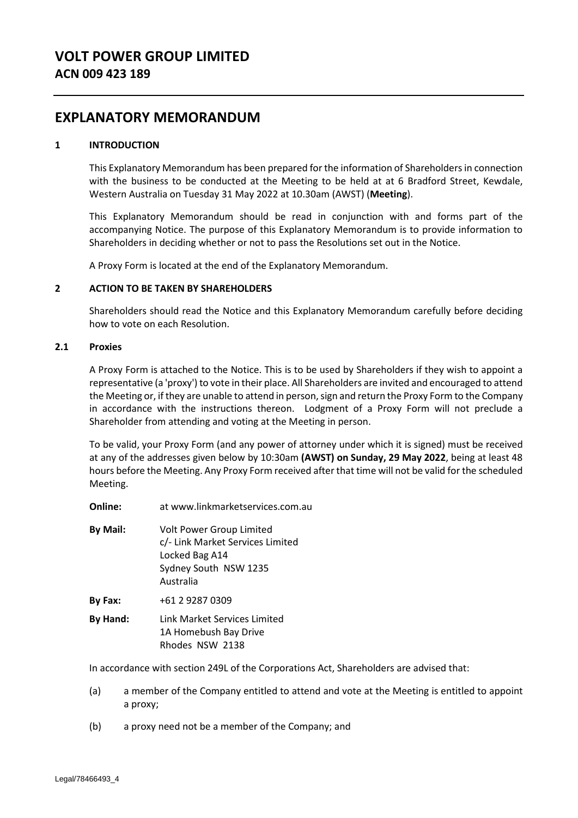# **EXPLANATORY MEMORANDUM**

## **1 INTRODUCTION**

This Explanatory Memorandum has been prepared for the information of Shareholders in connection with the business to be conducted at the Meeting to be held at at 6 Bradford Street, Kewdale, Western Australia on Tuesday 31 May 2022 at 10.30am (AWST) (**Meeting**).

This Explanatory Memorandum should be read in conjunction with and forms part of the accompanying Notice. The purpose of this Explanatory Memorandum is to provide information to Shareholders in deciding whether or not to pass the Resolutions set out in the Notice.

A Proxy Form is located at the end of the Explanatory Memorandum.

## **2 ACTION TO BE TAKEN BY SHAREHOLDERS**

Shareholders should read the Notice and this Explanatory Memorandum carefully before deciding how to vote on each Resolution.

## **2.1 Proxies**

A Proxy Form is attached to the Notice. This is to be used by Shareholders if they wish to appoint a representative (a 'proxy') to vote in their place. All Shareholders are invited and encouraged to attend the Meeting or, if they are unable to attend in person, sign and return the Proxy Form to the Company in accordance with the instructions thereon. Lodgment of a Proxy Form will not preclude a Shareholder from attending and voting at the Meeting in person.

To be valid, your Proxy Form (and any power of attorney under which it is signed) must be received at any of the addresses given below by 10:30am **(AWST) on Sunday, 29 May 2022**, being at least 48 hours before the Meeting. Any Proxy Form received after that time will not be valid for the scheduled Meeting.

**Online:** at www.linkmarketservices.com.au

| <b>By Mail:</b> | <b>Volt Power Group Limited</b><br>c/- Link Market Services Limited<br>Locked Bag A14<br>Sydney South NSW 1235<br>Australia |
|-----------------|-----------------------------------------------------------------------------------------------------------------------------|
| By Fax:         | +61 2 9287 0309                                                                                                             |
| By Hand:        | Link Market Services Limited                                                                                                |

1A Homebush Bay Drive Rhodes NSW 2138

In accordance with section 249L of the Corporations Act, Shareholders are advised that:

- (a) a member of the Company entitled to attend and vote at the Meeting is entitled to appoint a proxy;
- (b) a proxy need not be a member of the Company; and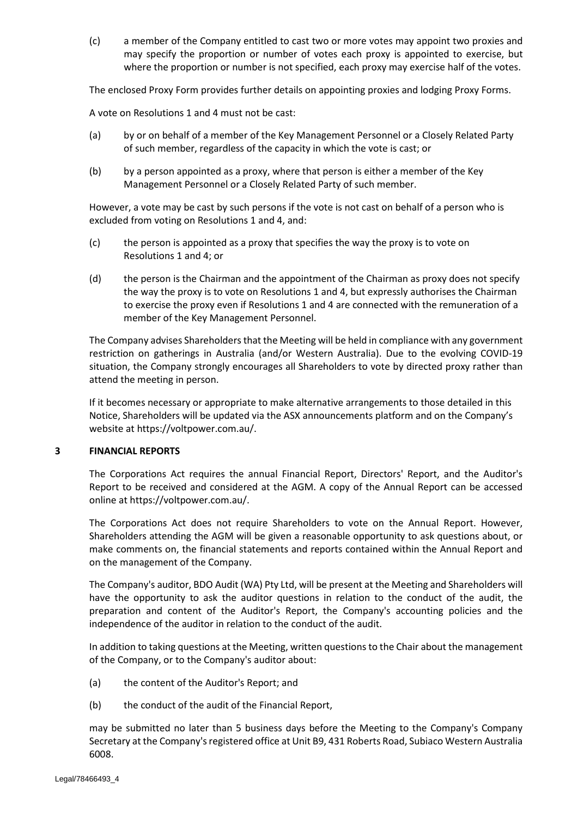(c) a member of the Company entitled to cast two or more votes may appoint two proxies and may specify the proportion or number of votes each proxy is appointed to exercise, but where the proportion or number is not specified, each proxy may exercise half of the votes.

The enclosed Proxy Form provides further details on appointing proxies and lodging Proxy Forms.

A vote on Resolutions [1](#page-1-0) and [4](#page-2-2) must not be cast:

- (a) by or on behalf of a member of the Key Management Personnel or a Closely Related Party of such member, regardless of the capacity in which the vote is cast; or
- (b) by a person appointed as a proxy, where that person is either a member of the Key Management Personnel or a Closely Related Party of such member.

However, a vote may be cast by such persons if the vote is not cast on behalf of a person who is excluded from voting on Resolutions [1](#page-1-0) and [4,](#page-2-2) and:

- (c) the person is appointed as a proxy that specifies the way the proxy is to vote on Resolutions [1](#page-1-0) an[d 4;](#page-2-2) or
- (d) the person is the Chairman and the appointment of the Chairman as proxy does not specify the way the proxy is to vote on Resolutions [1](#page-1-0) and [4,](#page-2-2) but expressly authorises the Chairman to exercise the proxy even if Resolutions [1](#page-1-0) and [4](#page-2-2) are connected with the remuneration of a member of the Key Management Personnel.

The Company advises Shareholders that the Meeting will be held in compliance with any government restriction on gatherings in Australia (and/or Western Australia). Due to the evolving COVID-19 situation, the Company strongly encourages all Shareholders to vote by directed proxy rather than attend the meeting in person.

If it becomes necessary or appropriate to make alternative arrangements to those detailed in this Notice, Shareholders will be updated via the ASX announcements platform and on the Company's website at https://voltpower.com.au/.

## **3 FINANCIAL REPORTS**

The Corporations Act requires the annual Financial Report, Directors' Report, and the Auditor's Report to be received and considered at the AGM. A copy of the Annual Report can be accessed online at https://voltpower.com.au/.

The Corporations Act does not require Shareholders to vote on the Annual Report. However, Shareholders attending the AGM will be given a reasonable opportunity to ask questions about, or make comments on, the financial statements and reports contained within the Annual Report and on the management of the Company.

The Company's auditor, BDO Audit (WA) Pty Ltd, will be present at the Meeting and Shareholders will have the opportunity to ask the auditor questions in relation to the conduct of the audit, the preparation and content of the Auditor's Report, the Company's accounting policies and the independence of the auditor in relation to the conduct of the audit.

In addition to taking questions at the Meeting, written questions to the Chair about the management of the Company, or to the Company's auditor about:

- (a) the content of the Auditor's Report; and
- (b) the conduct of the audit of the Financial Report,

may be submitted no later than 5 business days before the Meeting to the Company's Company Secretary at the Company's registered office at Unit B9, 431 Roberts Road, Subiaco Western Australia 6008.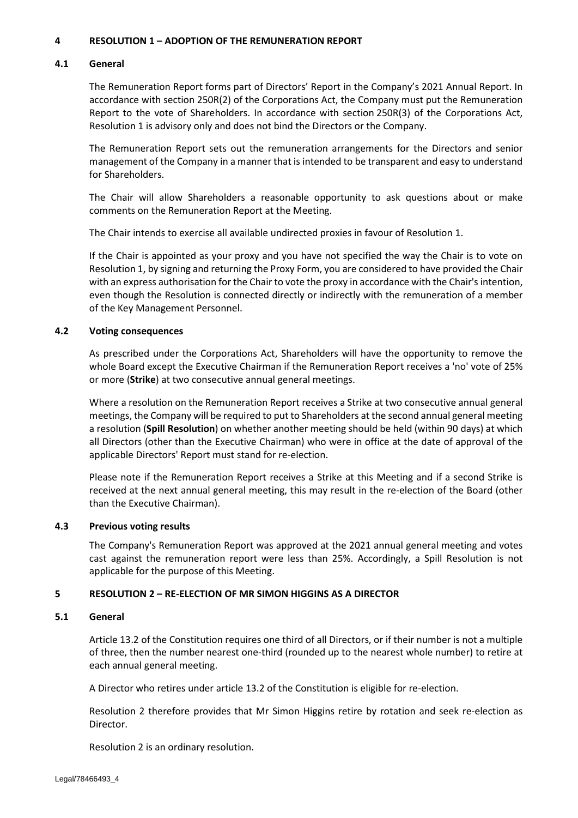## **4 RESOLUTIO[N 1](#page-1-0) – ADOPTION OF THE REMUNERATION REPORT**

## **4.1 General**

The Remuneration Report forms part of Directors' Report in the Company's 2021 Annual Report. In accordance with section 250R(2) of the Corporations Act, the Company must put the Remuneration Report to the vote of Shareholders. In accordance with section 250R(3) of the Corporations Act, Resolution [1](#page-1-0) is advisory only and does not bind the Directors or the Company.

The Remuneration Report sets out the remuneration arrangements for the Directors and senior management of the Company in a manner that is intended to be transparent and easy to understand for Shareholders.

The Chair will allow Shareholders a reasonable opportunity to ask questions about or make comments on the Remuneration Report at the Meeting.

The Chair intends to exercise all available undirected proxies in favour of Resolution [1.](#page-1-0)

If the Chair is appointed as your proxy and you have not specified the way the Chair is to vote on Resolution [1,](#page-1-0) by signing and returning the Proxy Form, you are considered to have provided the Chair with an express authorisation for the Chair to vote the proxy in accordance with the Chair's intention, even though the Resolution is connected directly or indirectly with the remuneration of a member of the Key Management Personnel.

## <span id="page-6-0"></span>**4.2 Voting consequences**

As prescribed under the Corporations Act, Shareholders will have the opportunity to remove the whole Board except the Executive Chairman if the Remuneration Report receives a 'no' vote of 25% or more (**Strike**) at two consecutive annual general meetings.

Where a resolution on the Remuneration Report receives a Strike at two consecutive annual general meetings, the Company will be required to put to Shareholders at the second annual general meeting a resolution (**Spill Resolution**) on whether another meeting should be held (within 90 days) at which all Directors (other than the Executive Chairman) who were in office at the date of approval of the applicable Directors' Report must stand for re-election.

Please note if the Remuneration Report receives a Strike at this Meeting and if a second Strike is received at the next annual general meeting, this may result in the re-election of the Board (other than the Executive Chairman).

## **4.3 Previous voting results**

The Company's Remuneration Report was approved at the 2021 annual general meeting and votes cast against the remuneration report were less than 25%. Accordingly, a Spill Resolution is not applicable for the purpose of this Meeting.

## **5 RESOLUTIO[N 2](#page-2-0) – RE-ELECTION OF MR SIMON HIGGINS AS A DIRECTOR**

## **5.1 General**

Article 13.2 of the Constitution requires one third of all Directors, or if their number is not a multiple of three, then the number nearest one-third (rounded up to the nearest whole number) to retire at each annual general meeting.

A Director who retires under article 13.2 of the Constitution is eligible for re-election.

Resolution [2](#page-2-0) therefore provides that Mr Simon Higgins retire by rotation and seek re-election as Director.

Resolution [2](#page-2-0) is an ordinary resolution.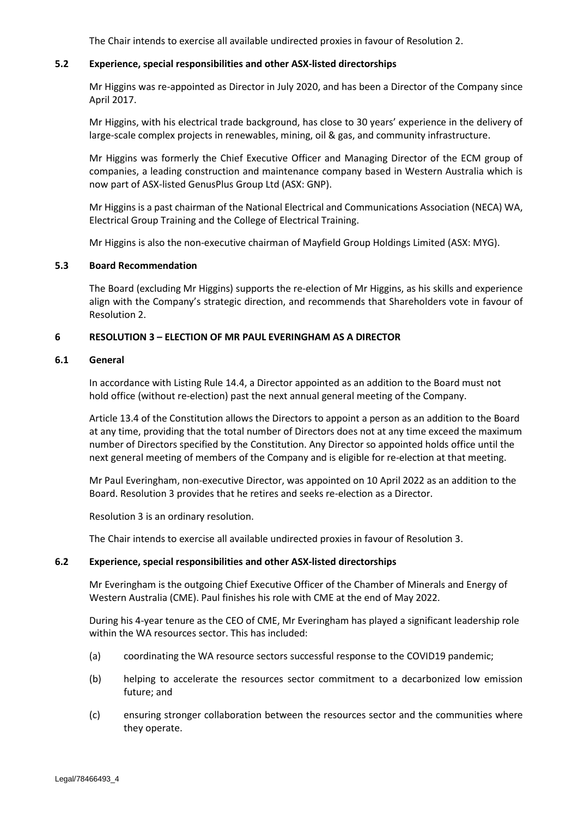The Chair intends to exercise all available undirected proxies in favour of Resolution [2.](#page-2-0)

## **5.2 Experience, special responsibilities and other ASX-listed directorships**

Mr Higgins was re-appointed as Director in July 2020, and has been a Director of the Company since April 2017.

Mr Higgins, with his electrical trade background, has close to 30 years' experience in the delivery of large-scale complex projects in renewables, mining, oil & gas, and community infrastructure.

Mr Higgins was formerly the Chief Executive Officer and Managing Director of the ECM group of companies, a leading construction and maintenance company based in Western Australia which is now part of ASX-listed GenusPlus Group Ltd (ASX: GNP).

Mr Higgins is a past chairman of the National Electrical and Communications Association (NECA) WA, Electrical Group Training and the College of Electrical Training.

Mr Higgins is also the non-executive chairman of Mayfield Group Holdings Limited (ASX: MYG).

## **5.3 Board Recommendation**

The Board (excluding Mr Higgins) supports the re-election of Mr Higgins, as his skills and experience align with the Company's strategic direction, and recommends that Shareholders vote in favour of Resolution [2.](#page-2-0)

## **6 RESOLUTIO[N 3](#page-2-1) – ELECTION OF MR PAUL EVERINGHAM AS A DIRECTOR**

#### **6.1 General**

In accordance with Listing Rule 14.4, a Director appointed as an addition to the Board must not hold office (without re-election) past the next annual general meeting of the Company.

Article 13.4 of the Constitution allows the Directors to appoint a person as an addition to the Board at any time, providing that the total number of Directors does not at any time exceed the maximum number of Directors specified by the Constitution. Any Director so appointed holds office until the next general meeting of members of the Company and is eligible for re-election at that meeting.

Mr Paul Everingham, non-executive Director, was appointed on 10 April 2022 as an addition to the Board. Resolution [3](#page-2-1) provides that he retires and seeks re-election as a Director.

Resolution [3](#page-2-1) is an ordinary resolution.

The Chair intends to exercise all available undirected proxies in favour of Resolution [3.](#page-2-1)

#### **6.2 Experience, special responsibilities and other ASX-listed directorships**

Mr Everingham is the outgoing Chief Executive Officer of the Chamber of Minerals and Energy of Western Australia (CME). Paul finishes his role with CME at the end of May 2022.

During his 4-year tenure as the CEO of CME, Mr Everingham has played a significant leadership role within the WA resources sector. This has included:

- (a) coordinating the WA resource sectors successful response to the COVID19 pandemic;
- (b) helping to accelerate the resources sector commitment to a decarbonized low emission future; and
- (c) ensuring stronger collaboration between the resources sector and the communities where they operate.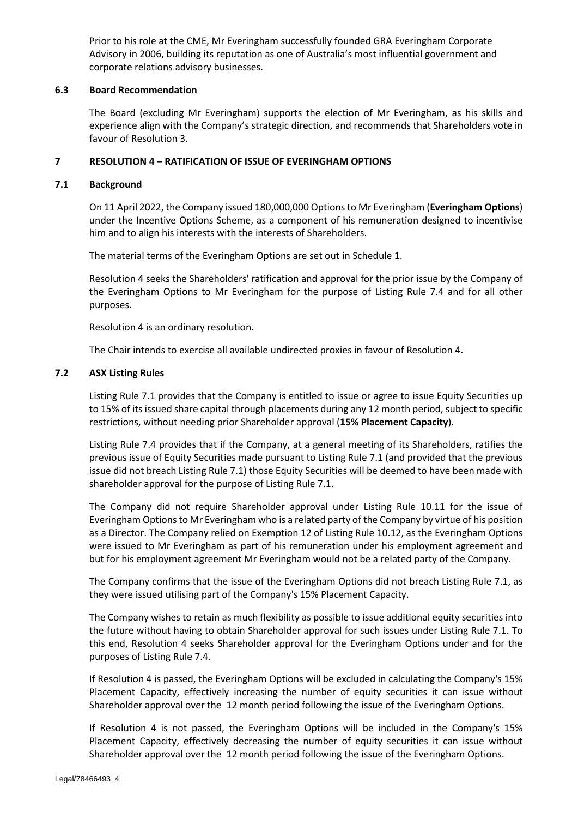Prior to his role at the CME, Mr Everingham successfully founded GRA Everingham Corporate Advisory in 2006, building its reputation as one of Australia's most influential government and corporate relations advisory businesses.

## **6.3 Board Recommendation**

The Board (excluding Mr Everingham) supports the election of Mr Everingham, as his skills and experience align with the Company's strategic direction, and recommends that Shareholders vote in favour of Resolution [3.](#page-2-1)

## **7 RESOLUTIO[N 4](#page-2-2) – RATIFICATION OF ISSUE OF EVERINGHAM OPTIONS**

## <span id="page-8-1"></span>**7.1 Background**

On 11 April 2022, the Company issued 180,000,000 Options to Mr Everingham (**Everingham Options**) under the Incentive Options Scheme, as a component of his remuneration designed to incentivise him and to align his interests with the interests of Shareholders.

The material terms of the Everingham Options are set out in [Schedule 1.](#page-12-0)

Resolution [4](#page-2-2) seeks the Shareholders' ratification and approval for the prior issue by the Company of the Everingham Options to Mr Everingham for the purpose of Listing Rule 7.4 and for all other purposes.

Resolution [4](#page-2-2) is an ordinary resolution.

The Chair intends to exercise all available undirected proxies in favour of Resolution [4.](#page-2-2)

## <span id="page-8-0"></span>**7.2 ASX Listing Rules**

Listing Rule 7.1 provides that the Company is entitled to issue or agree to issue Equity Securities up to 15% of its issued share capital through placements during any 12 month period, subject to specific restrictions, without needing prior Shareholder approval (**15% Placement Capacity**).

Listing Rule 7.4 provides that if the Company, at a general meeting of its Shareholders, ratifies the previous issue of Equity Securities made pursuant to Listing Rule 7.1 (and provided that the previous issue did not breach Listing Rule 7.1) those Equity Securities will be deemed to have been made with shareholder approval for the purpose of Listing Rule 7.1.

The Company did not require Shareholder approval under Listing Rule 10.11 for the issue of Everingham Options to Mr Everingham who is a related party of the Company by virtue of his position as a Director. The Company relied on Exemption 12 of Listing Rule 10.12, as the Everingham Options were issued to Mr Everingham as part of his remuneration under his employment agreement and but for his employment agreement Mr Everingham would not be a related party of the Company.

The Company confirms that the issue of the Everingham Options did not breach Listing Rule 7.1, as they were issued utilising part of the Company's 15% Placement Capacity.

The Company wishes to retain as much flexibility as possible to issue additional equity securities into the future without having to obtain Shareholder approval for such issues under Listing Rule 7.1. To this end, Resolution 4 seeks Shareholder approval for the Everingham Options under and for the purposes of Listing Rule 7.4.

If Resolution [4](#page-2-2) is passed, the Everingham Options will be excluded in calculating the Company's 15% Placement Capacity, effectively increasing the number of equity securities it can issue without Shareholder approval over the 12 month period following the issue of the Everingham Options.

If Resolution [4](#page-2-2) is not passed, the Everingham Options will be included in the Company's 15% Placement Capacity, effectively decreasing the number of equity securities it can issue without Shareholder approval over the 12 month period following the issue of the Everingham Options.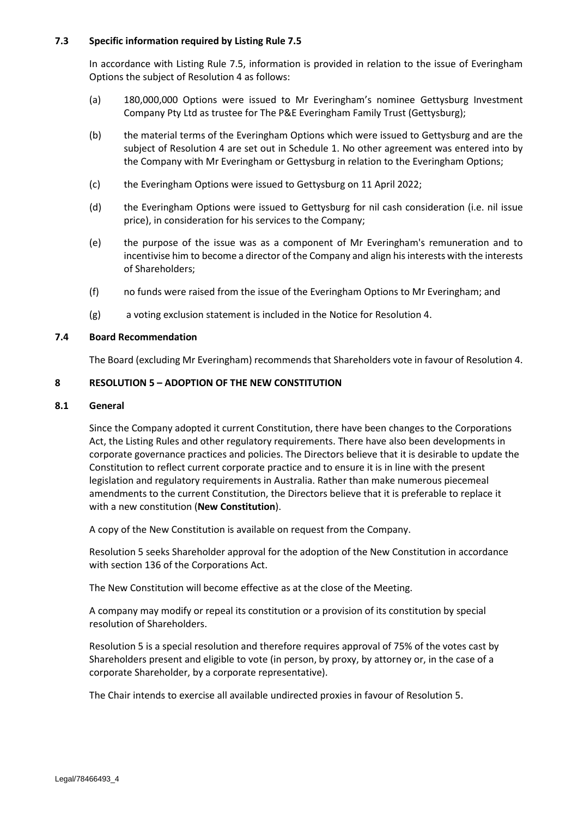## **7.3 Specific information required by Listing Rule 7.5**

In accordance with Listing Rule 7.5, information is provided in relation to the issue of Everingham Options the subject of Resolution [4](#page-2-2) as follows:

- (a) 180,000,000 Options were issued to Mr Everingham's nominee Gettysburg Investment Company Pty Ltd as trustee for The P&E Everingham Family Trust (Gettysburg);
- (b) the material terms of the Everingham Options which were issued to Gettysburg and are the subject of Resolution [4](#page-2-2) are set out in [Schedule 1.](#page-12-0) No other agreement was entered into by the Company with Mr Everingham or Gettysburg in relation to the Everingham Options;
- (c) the Everingham Options were issued to Gettysburg on 11 April 2022;
- (d) the Everingham Options were issued to Gettysburg for nil cash consideration (i.e. nil issue price), in consideration for his services to the Company;
- (e) the purpose of the issue was as a component of Mr Everingham's remuneration and to incentivise him to become a director of the Company and align his interests with the interests of Shareholders;
- (f) no funds were raised from the issue of the Everingham Options to Mr Everingham; and
- (g) a voting exclusion statement is included in the Notice for Resolutio[n 4.](#page-2-2)

## **7.4 Board Recommendation**

The Board (excluding Mr Everingham) recommends that Shareholders vote in favour of Resolutio[n 4.](#page-2-2)

## **8 RESOLUTIO[N 5](#page-3-0) – ADOPTION OF THE NEW CONSTITUTION**

#### <span id="page-9-0"></span>**8.1 General**

Since the Company adopted it current Constitution, there have been changes to the Corporations Act, the Listing Rules and other regulatory requirements. There have also been developments in corporate governance practices and policies. The Directors believe that it is desirable to update the Constitution to reflect current corporate practice and to ensure it is in line with the present legislation and regulatory requirements in Australia. Rather than make numerous piecemeal amendments to the current Constitution, the Directors believe that it is preferable to replace it with a new constitution (**New Constitution**).

A copy of the New Constitution is available on request from the Company.

Resolution [5](#page-3-0) seeks Shareholder approval for the adoption of the New Constitution in accordance with section 136 of the Corporations Act.

The New Constitution will become effective as at the close of the Meeting.

A company may modify or repeal its constitution or a provision of its constitution by special resolution of Shareholders.

Resolution [5](#page-3-0) is a special resolution and therefore requires approval of 75% of the votes cast by Shareholders present and eligible to vote (in person, by proxy, by attorney or, in the case of a corporate Shareholder, by a corporate representative).

The Chair intends to exercise all available undirected proxies in favour of Resolution [5.](#page-3-0)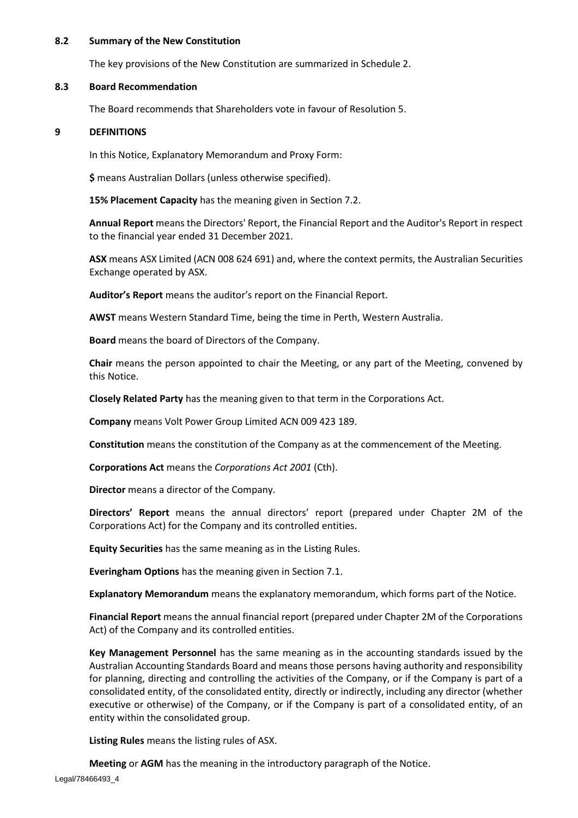### **8.2 Summary of the New Constitution**

The key provisions of the New Constitution are summarized in Schedule 2.

## **8.3 Board Recommendation**

The Board recommends that Shareholders vote in favour of Resolution [5.](#page-3-0)

## <span id="page-10-0"></span>**9 DEFINITIONS**

In this Notice, Explanatory Memorandum and Proxy Form:

**\$** means Australian Dollars (unless otherwise specified).

**15% Placement Capacity** has the meaning given in Section [7.2.](#page-8-0)

**Annual Report** means the Directors' Report, the Financial Report and the Auditor's Report in respect to the financial year ended 31 December 2021.

**ASX** means ASX Limited (ACN 008 624 691) and, where the context permits, the Australian Securities Exchange operated by ASX.

**Auditor's Report** means the auditor's report on the Financial Report.

**AWST** means Western Standard Time, being the time in Perth, Western Australia.

**Board** means the board of Directors of the Company.

**Chair** means the person appointed to chair the Meeting, or any part of the Meeting, convened by this Notice.

**Closely Related Party** has the meaning given to that term in the Corporations Act.

**Company** means Volt Power Group Limited ACN 009 423 189.

**Constitution** means the constitution of the Company as at the commencement of the Meeting.

**Corporations Act** means the *Corporations Act 2001* (Cth).

**Director** means a director of the Company.

**Directors' Report** means the annual directors' report (prepared under Chapter 2M of the Corporations Act) for the Company and its controlled entities.

**Equity Securities** has the same meaning as in the Listing Rules.

**Everingham Options** has the meaning given in Sectio[n 7.1.](#page-8-1)

**Explanatory Memorandum** means the explanatory memorandum, which forms part of the Notice.

**Financial Report** means the annual financial report (prepared under Chapter 2M of the Corporations Act) of the Company and its controlled entities.

**Key Management Personnel** has the same meaning as in the accounting standards issued by the Australian Accounting Standards Board and means those persons having authority and responsibility for planning, directing and controlling the activities of the Company, or if the Company is part of a consolidated entity, of the consolidated entity, directly or indirectly, including any director (whether executive or otherwise) of the Company, or if the Company is part of a consolidated entity, of an entity within the consolidated group.

**Listing Rules** means the listing rules of ASX.

**Meeting** or **AGM** has the meaning in the introductory paragraph of the Notice.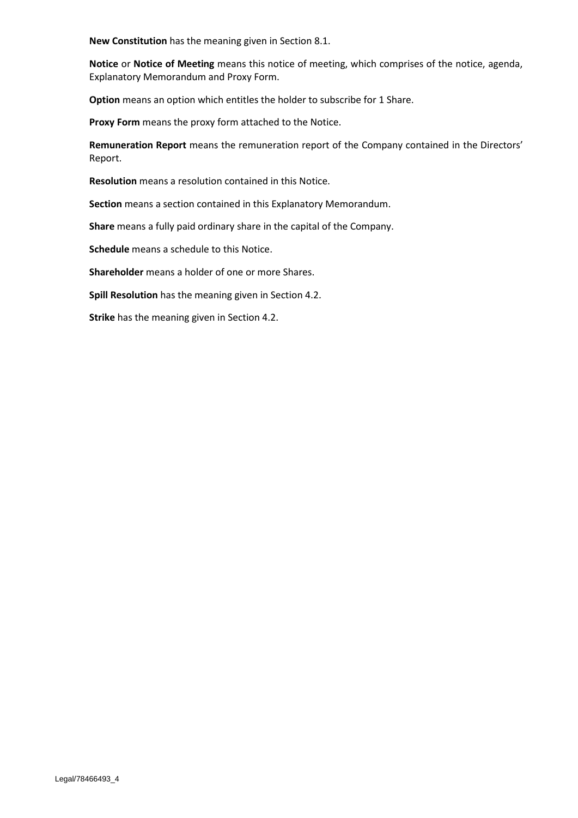**New Constitution** has the meaning given in Section [8.1.](#page-9-0)

**Notice** or **Notice of Meeting** means this notice of meeting, which comprises of the notice, agenda, Explanatory Memorandum and Proxy Form.

**Option** means an option which entitles the holder to subscribe for 1 Share.

**Proxy Form** means the proxy form attached to the Notice.

**Remuneration Report** means the remuneration report of the Company contained in the Directors' Report.

**Resolution** means a resolution contained in this Notice.

**Section** means a section contained in this Explanatory Memorandum.

**Share** means a fully paid ordinary share in the capital of the Company.

**Schedule** means a schedule to this Notice.

**Shareholder** means a holder of one or more Shares.

**Spill Resolution** has the meaning given in Section [4.2.](#page-6-0)

**Strike** has the meaning given in Section [4.2.](#page-6-0)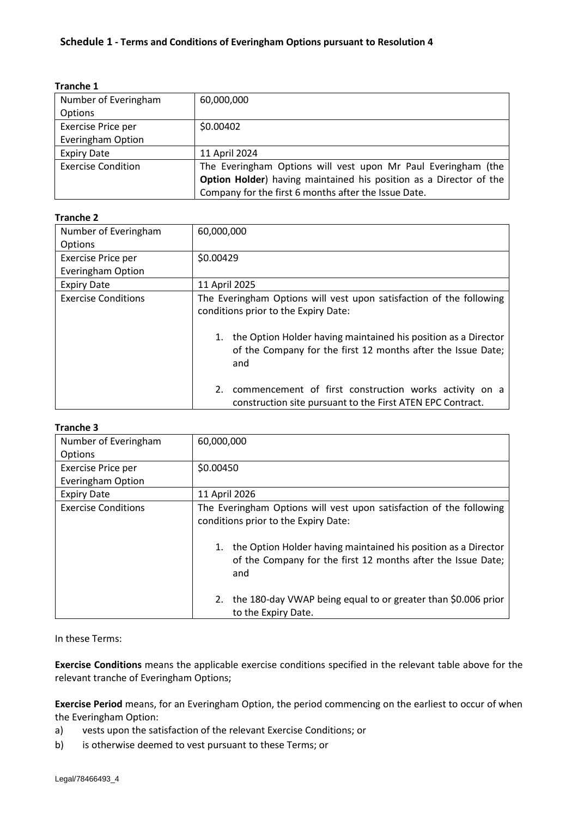<span id="page-12-0"></span>

| <b>Tranche 1</b> |  |
|------------------|--|
|------------------|--|

| Number of Everingham      | 60,000,000                                                         |
|---------------------------|--------------------------------------------------------------------|
| Options                   |                                                                    |
| Exercise Price per        | \$0.00402                                                          |
| <b>Everingham Option</b>  |                                                                    |
| <b>Expiry Date</b>        | 11 April 2024                                                      |
| <b>Exercise Condition</b> | The Everingham Options will vest upon Mr Paul Everingham (the      |
|                           | Option Holder) having maintained his position as a Director of the |
|                           | Company for the first 6 months after the Issue Date.               |

## **Tranche 2**

| Number of Everingham       | 60,000,000                                                                                                                                  |  |  |
|----------------------------|---------------------------------------------------------------------------------------------------------------------------------------------|--|--|
| Options                    |                                                                                                                                             |  |  |
| Exercise Price per         | \$0.00429                                                                                                                                   |  |  |
| <b>Everingham Option</b>   |                                                                                                                                             |  |  |
| <b>Expiry Date</b>         | 11 April 2025                                                                                                                               |  |  |
| <b>Exercise Conditions</b> | The Everingham Options will vest upon satisfaction of the following<br>conditions prior to the Expiry Date:                                 |  |  |
|                            | the Option Holder having maintained his position as a Director<br>1.<br>of the Company for the first 12 months after the Issue Date;<br>and |  |  |
|                            | commencement of first construction works activity on a<br>2.<br>construction site pursuant to the First ATEN EPC Contract.                  |  |  |

## **Tranche 3**

| Number of Everingham       | 60,000,000                                                                                                                            |  |  |
|----------------------------|---------------------------------------------------------------------------------------------------------------------------------------|--|--|
| Options                    |                                                                                                                                       |  |  |
| Exercise Price per         | \$0.00450                                                                                                                             |  |  |
| <b>Everingham Option</b>   |                                                                                                                                       |  |  |
| <b>Expiry Date</b>         | 11 April 2026                                                                                                                         |  |  |
| <b>Exercise Conditions</b> | The Everingham Options will vest upon satisfaction of the following<br>conditions prior to the Expiry Date:                           |  |  |
|                            | the Option Holder having maintained his position as a Director<br>of the Company for the first 12 months after the Issue Date;<br>and |  |  |
|                            | the 180-day VWAP being equal to or greater than \$0.006 prior<br>2.<br>to the Expiry Date.                                            |  |  |

## In these Terms:

**Exercise Conditions** means the applicable exercise conditions specified in the relevant table above for the relevant tranche of Everingham Options;

**Exercise Period** means, for an Everingham Option, the period commencing on the earliest to occur of when the Everingham Option:

- a) vests upon the satisfaction of the relevant Exercise Conditions; or
- b) is otherwise deemed to vest pursuant to these Terms; or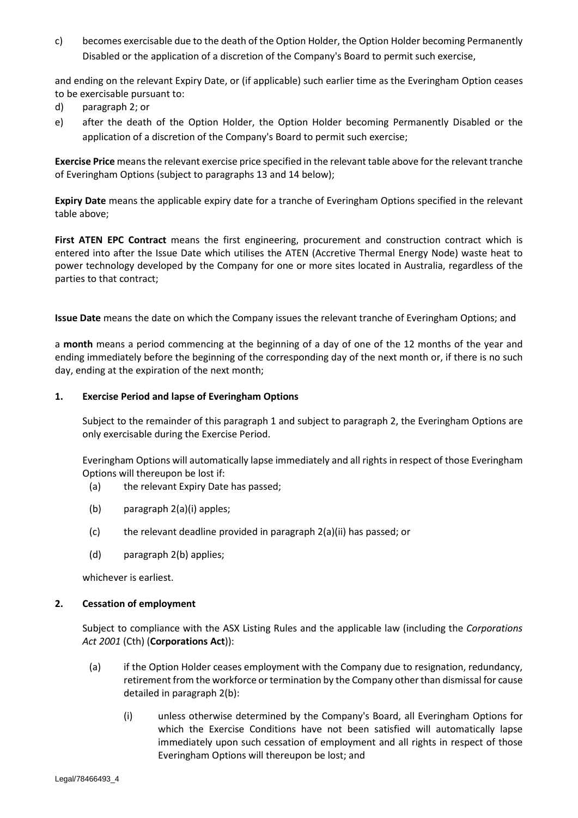c) becomes exercisable due to the death of the Option Holder, the Option Holder becoming Permanently Disabled or the application of a discretion of the Company's Board to permit such exercise,

and ending on the relevant Expiry Date, or (if applicable) such earlier time as the Everingham Option ceases to be exercisable pursuant to:

- d) paragraph [2;](#page-13-0) or
- e) after the death of the Option Holder, the Option Holder becoming Permanently Disabled or the application of a discretion of the Company's Board to permit such exercise;

**Exercise Price** means the relevant exercise price specified in the relevant table above for the relevant tranche of Everingham Options (subject to paragraphs [13](#page-17-0) and [14](#page-18-0) below);

**Expiry Date** means the applicable expiry date for a tranche of Everingham Options specified in the relevant table above;

First ATEN EPC Contract means the first engineering, procurement and construction contract which is entered into after the Issue Date which utilises the ATEN (Accretive Thermal Energy Node) waste heat to power technology developed by the Company for one or more sites located in Australia, regardless of the parties to that contract;

**Issue Date** means the date on which the Company issues the relevant tranche of Everingham Options; and

a **month** means a period commencing at the beginning of a day of one of the 12 months of the year and ending immediately before the beginning of the corresponding day of the next month or, if there is no such day, ending at the expiration of the next month;

## <span id="page-13-1"></span>**1. Exercise Period and lapse of Everingham Options**

Subject to the remainder of this paragraph [1](#page-13-1) and subject to paragraph [2,](#page-13-0) the Everingham Options are only exercisable during the Exercise Period.

Everingham Options will automatically lapse immediately and all rights in respect of those Everingham Options will thereupon be lost if:

- (a) the relevant Expiry Date has passed;
- (b) paragraph [2](#page-13-0)[\(a\)\(i\)](#page-13-2) apples;
- (c) the relevant deadline provided in paragraph [2](#page-13-0)[\(a\)\(ii\)](#page-14-0) has passed; or
- (d) paragraph [2](#page-13-0)[\(b\)](#page-14-1) applies;

whichever is earliest.

## <span id="page-13-0"></span>**2. Cessation of employment**

Subject to compliance with the ASX Listing Rules and the applicable law (including the *Corporations Act 2001* (Cth) (**Corporations Act**)):

- <span id="page-13-2"></span>(a) if the Option Holder ceases employment with the Company due to resignation, redundancy, retirement from the workforce or termination by the Company other than dismissal for cause detailed in paragraph [2](#page-13-0)[\(b\):](#page-14-1)
	- (i) unless otherwise determined by the Company's Board, all Everingham Options for which the Exercise Conditions have not been satisfied will automatically lapse immediately upon such cessation of employment and all rights in respect of those Everingham Options will thereupon be lost; and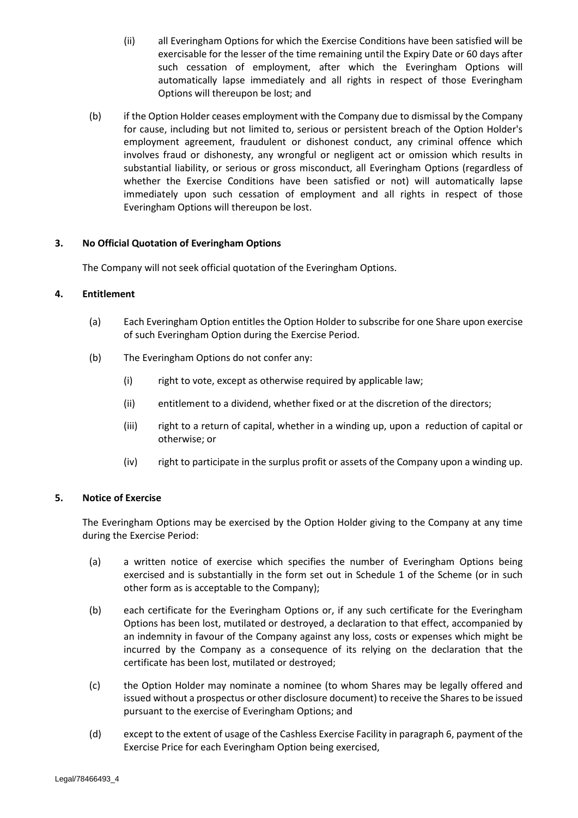- <span id="page-14-0"></span>(ii) all Everingham Options for which the Exercise Conditions have been satisfied will be exercisable for the lesser of the time remaining until the Expiry Date or 60 days after such cessation of employment, after which the Everingham Options will automatically lapse immediately and all rights in respect of those Everingham Options will thereupon be lost; and
- (b) if the Option Holder ceases employment with the Company due to dismissal by the Company for cause, including but not limited to, serious or persistent breach of the Option Holder's employment agreement, fraudulent or dishonest conduct, any criminal offence which involves fraud or dishonesty, any wrongful or negligent act or omission which results in substantial liability, or serious or gross misconduct, all Everingham Options (regardless of whether the Exercise Conditions have been satisfied or not) will automatically lapse immediately upon such cessation of employment and all rights in respect of those Everingham Options will thereupon be lost.

## **3. No Official Quotation of Everingham Options**

<span id="page-14-1"></span>The Company will not seek official quotation of the Everingham Options.

## **4. Entitlement**

- (a) Each Everingham Option entitles the Option Holder to subscribe for one Share upon exercise of such Everingham Option during the Exercise Period.
- (b) The Everingham Options do not confer any:
	- (i) right to vote, except as otherwise required by applicable law;
	- (ii) entitlement to a dividend, whether fixed or at the discretion of the directors;
	- (iii) right to a return of capital, whether in a winding up, upon a reduction of capital or otherwise; or
	- (iv) right to participate in the surplus profit or assets of the Company upon a winding up.

## <span id="page-14-2"></span>**5. Notice of Exercise**

The Everingham Options may be exercised by the Option Holder giving to the Company at any time during the Exercise Period:

- <span id="page-14-4"></span>(a) a written notice of exercise which specifies the number of Everingham Options being exercised and is substantially in the form set out in Schedule 1 of the Scheme (or in such other form as is acceptable to the Company);
- (b) each certificate for the Everingham Options or, if any such certificate for the Everingham Options has been lost, mutilated or destroyed, a declaration to that effect, accompanied by an indemnity in favour of the Company against any loss, costs or expenses which might be incurred by the Company as a consequence of its relying on the declaration that the certificate has been lost, mutilated or destroyed;
- <span id="page-14-3"></span>(c) the Option Holder may nominate a nominee (to whom Shares may be legally offered and issued without a prospectus or other disclosure document) to receive the Shares to be issued pursuant to the exercise of Everingham Options; and
- (d) except to the extent of usage of the Cashless Exercise Facility in paragrap[h 6,](#page-15-0) payment of the Exercise Price for each Everingham Option being exercised,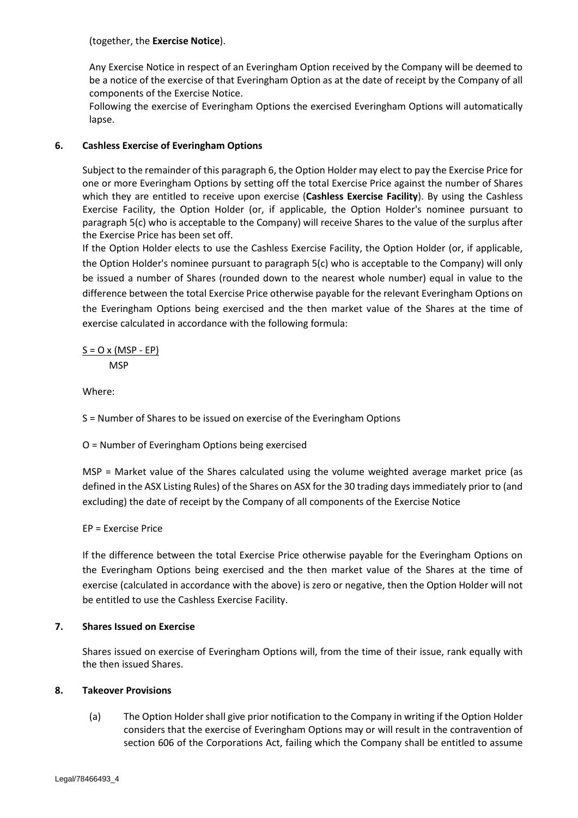## (together, the **Exercise Notice**).

Any Exercise Notice in respect of an Everingham Option received by the Company will be deemed to be a notice of the exercise of that Everingham Option as at the date of receipt by the Company of all components of the Exercise Notice.

Following the exercise of Everingham Options the exercised Everingham Options will automatically lapse.

## <span id="page-15-0"></span>**6. Cashless Exercise of Everingham Options**

Subject to the remainder of this paragrap[h 6,](#page-15-0) the Option Holder may elect to pay the Exercise Price for one or more Everingham Options by setting off the total Exercise Price against the number of Shares which they are entitled to receive upon exercise (**Cashless Exercise Facility**). By using the Cashless Exercise Facility, the Option Holder (or, if applicable, the Option Holder's nominee pursuant to paragraph [5](#page-14-2)[\(c\)](#page-14-3) who is acceptable to the Company) will receive Shares to the value of the surplus after the Exercise Price has been set off.

If the Option Holder elects to use the Cashless Exercise Facility, the Option Holder (or, if applicable, the Option Holder's nominee pursuant to paragraph [5](#page-14-2)[\(c\)](#page-14-3) who is acceptable to the Company) will only be issued a number of Shares (rounded down to the nearest whole number) equal in value to the difference between the total Exercise Price otherwise payable for the relevant Everingham Options on the Everingham Options being exercised and the then market value of the Shares at the time of exercise calculated in accordance with the following formula:

## $S = O \times (MSP - EP)$ **MSP**

Where:

S = Number of Shares to be issued on exercise of the Everingham Options

O = Number of Everingham Options being exercised

MSP = Market value of the Shares calculated using the volume weighted average market price (as defined in the ASX Listing Rules) of the Shares on ASX for the 30 trading days immediately prior to (and excluding) the date of receipt by the Company of all components of the Exercise Notice

## EP = Exercise Price

If the difference between the total Exercise Price otherwise payable for the Everingham Options on the Everingham Options being exercised and the then market value of the Shares at the time of exercise (calculated in accordance with the above) is zero or negative, then the Option Holder will not be entitled to use the Cashless Exercise Facility.

## **7. Shares Issued on Exercise**

Shares issued on exercise of Everingham Options will, from the time of their issue, rank equally with the then issued Shares.

## <span id="page-15-2"></span><span id="page-15-1"></span>**8. Takeover Provisions**

(a) The Option Holder shall give prior notification to the Company in writing if the Option Holder considers that the exercise of Everingham Options may or will result in the contravention of section 606 of the Corporations Act, failing which the Company shall be entitled to assume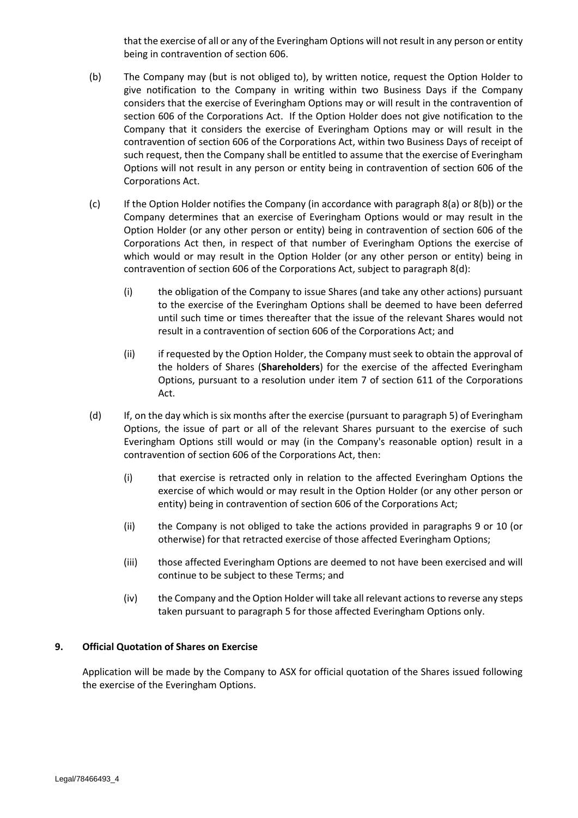that the exercise of all or any of the Everingham Options will not result in any person or entity being in contravention of section 606.

- <span id="page-16-0"></span>(b) The Company may (but is not obliged to), by written notice, request the Option Holder to give notification to the Company in writing within two Business Days if the Company considers that the exercise of Everingham Options may or will result in the contravention of section 606 of the Corporations Act. If the Option Holder does not give notification to the Company that it considers the exercise of Everingham Options may or will result in the contravention of section 606 of the Corporations Act, within two Business Days of receipt of such request, then the Company shall be entitled to assume that the exercise of Everingham Options will not result in any person or entity being in contravention of section 606 of the Corporations Act.
- (c) If the Option Holder notifies the Company (in accordance with paragraph [8](#page-15-1)[\(a\)](#page-15-2) or [8](#page-15-1)[\(b\)\)](#page-16-0) or the Company determines that an exercise of Everingham Options would or may result in the Option Holder (or any other person or entity) being in contravention of section 606 of the Corporations Act then, in respect of that number of Everingham Options the exercise of which would or may result in the Option Holder (or any other person or entity) being in contravention of section 606 of the Corporations Act, subject to paragrap[h 8](#page-15-1)[\(d\):](#page-16-1)
	- (i) the obligation of the Company to issue Shares (and take any other actions) pursuant to the exercise of the Everingham Options shall be deemed to have been deferred until such time or times thereafter that the issue of the relevant Shares would not result in a contravention of section 606 of the Corporations Act; and
	- (ii) if requested by the Option Holder, the Company must seek to obtain the approval of the holders of Shares (**Shareholders**) for the exercise of the affected Everingham Options, pursuant to a resolution under item 7 of section 611 of the Corporations Act.
- <span id="page-16-1"></span>(d) If, on the day which is six months after the exercise (pursuant to paragraph [5\)](#page-14-2) of Everingham Options, the issue of part or all of the relevant Shares pursuant to the exercise of such Everingham Options still would or may (in the Company's reasonable option) result in a contravention of section 606 of the Corporations Act, then:
	- (i) that exercise is retracted only in relation to the affected Everingham Options the exercise of which would or may result in the Option Holder (or any other person or entity) being in contravention of section 606 of the Corporations Act;
	- (ii) the Company is not obliged to take the actions provided in paragraphs [9](#page-16-2) or [10](#page-17-1) (or otherwise) for that retracted exercise of those affected Everingham Options;
	- (iii) those affected Everingham Options are deemed to not have been exercised and will continue to be subject to these Terms; and
	- (iv) the Company and the Option Holder will take all relevant actions to reverse any steps taken pursuant to paragraph [5](#page-14-2) for those affected Everingham Options only.

## <span id="page-16-2"></span>**9. Official Quotation of Shares on Exercise**

Application will be made by the Company to ASX for official quotation of the Shares issued following the exercise of the Everingham Options.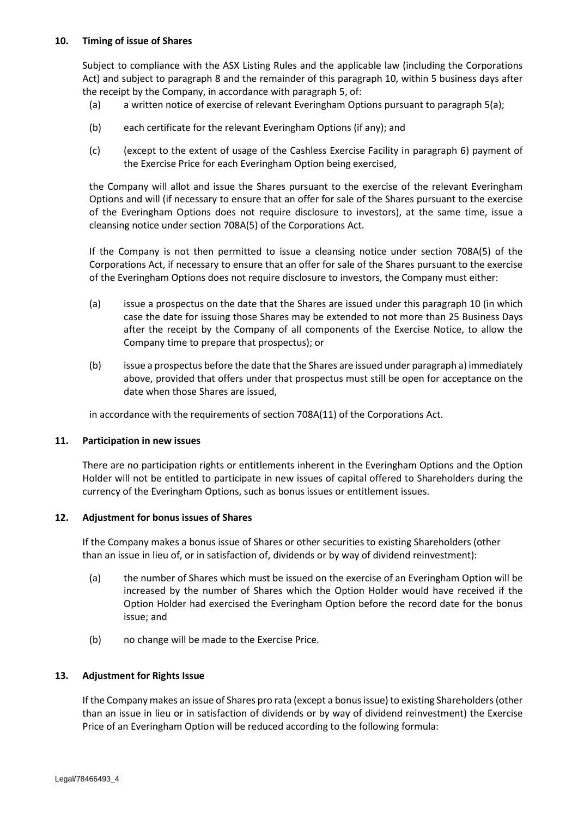## <span id="page-17-1"></span>**10. Timing of issue of Shares**

Subject to compliance with the ASX Listing Rules and the applicable law (including the Corporations Act) and subject to paragraph [8](#page-15-1) and the remainder of this paragraph [10,](#page-17-1) within 5 business days after the receipt by the Company, in accordance with paragraph [5,](#page-14-2) of:

- (a) a written notice of exercise of relevant Everingham Options pursuant to paragraph [5](#page-14-2)[\(a\);](#page-14-4)
- (b) each certificate for the relevant Everingham Options (if any); and
- (c) (except to the extent of usage of the Cashless Exercise Facility in paragraph [6\)](#page-15-0) payment of the Exercise Price for each Everingham Option being exercised,

the Company will allot and issue the Shares pursuant to the exercise of the relevant Everingham Options and will (if necessary to ensure that an offer for sale of the Shares pursuant to the exercise of the Everingham Options does not require disclosure to investors), at the same time, issue a cleansing notice under section 708A(5) of the Corporations Act.

If the Company is not then permitted to issue a cleansing notice under section 708A(5) of the Corporations Act, if necessary to ensure that an offer for sale of the Shares pursuant to the exercise of the Everingham Options does not require disclosure to investors, the Company must either:

- (a) issue a prospectus on the date that the Shares are issued under this paragraph [10](#page-17-1) (in which case the date for issuing those Shares may be extended to not more than 25 Business Days after the receipt by the Company of all components of the Exercise Notice, to allow the Company time to prepare that prospectus); or
- (b) issue a prospectus before the date that the Shares are issued under paragraph a) immediately above, provided that offers under that prospectus must still be open for acceptance on the date when those Shares are issued,

in accordance with the requirements of section 708A(11) of the Corporations Act.

## **11. Participation in new issues**

There are no participation rights or entitlements inherent in the Everingham Options and the Option Holder will not be entitled to participate in new issues of capital offered to Shareholders during the currency of the Everingham Options, such as bonus issues or entitlement issues.

## **12. Adjustment for bonus issues of Shares**

If the Company makes a bonus issue of Shares or other securities to existing Shareholders (other than an issue in lieu of, or in satisfaction of, dividends or by way of dividend reinvestment):

- (a) the number of Shares which must be issued on the exercise of an Everingham Option will be increased by the number of Shares which the Option Holder would have received if the Option Holder had exercised the Everingham Option before the record date for the bonus issue; and
- (b) no change will be made to the Exercise Price.

## <span id="page-17-0"></span>**13. Adjustment for Rights Issue**

If the Company makes an issue of Shares pro rata (except a bonus issue) to existing Shareholders (other than an issue in lieu or in satisfaction of dividends or by way of dividend reinvestment) the Exercise Price of an Everingham Option will be reduced according to the following formula: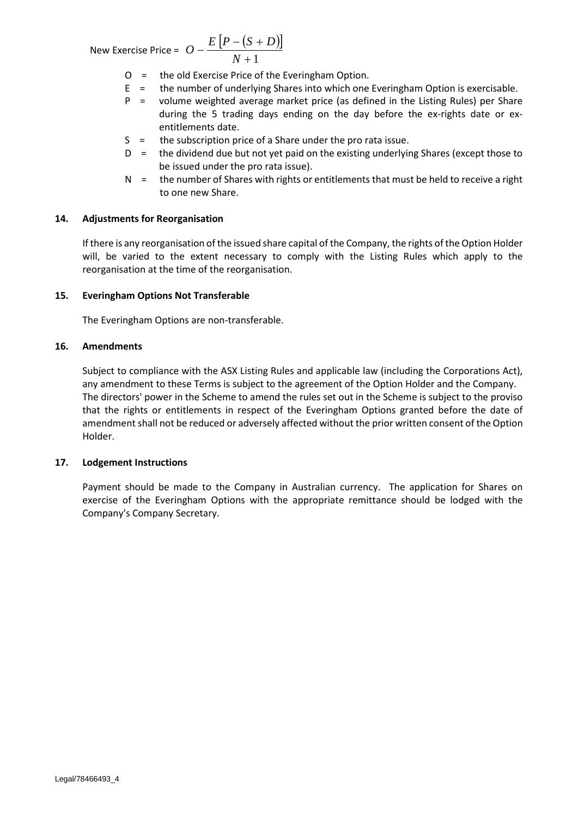New Exercise Price =  $\ddot{O} - \frac{E[P-(S+D)]}{V}$  $O - \frac{E[P - (S + D)}{N + 1}$ 

$$
\frac{(b+D)}{N+1}
$$

- O = the old Exercise Price of the Everingham Option.
- E = the number of underlying Shares into which one Everingham Option is exercisable.
- P = volume weighted average market price (as defined in the Listing Rules) per Share during the 5 trading days ending on the day before the ex-rights date or exentitlements date.
- S = the subscription price of a Share under the pro rata issue.
- $D =$  the dividend due but not yet paid on the existing underlying Shares (except those to be issued under the pro rata issue).
- $N =$  the number of Shares with rights or entitlements that must be held to receive a right to one new Share.

## <span id="page-18-0"></span>**14. Adjustments for Reorganisation**

If there is any reorganisation of the issued share capital of the Company, the rights of the Option Holder will, be varied to the extent necessary to comply with the Listing Rules which apply to the reorganisation at the time of the reorganisation.

## **15. Everingham Options Not Transferable**

The Everingham Options are non-transferable.

## **16. Amendments**

Subject to compliance with the ASX Listing Rules and applicable law (including the Corporations Act), any amendment to these Terms is subject to the agreement of the Option Holder and the Company. The directors' power in the Scheme to amend the rules set out in the Scheme is subject to the proviso that the rights or entitlements in respect of the Everingham Options granted before the date of amendment shall not be reduced or adversely affected without the prior written consent of the Option Holder.

## **17. Lodgement Instructions**

Payment should be made to the Company in Australian currency. The application for Shares on exercise of the Everingham Options with the appropriate remittance should be lodged with the Company's Company Secretary.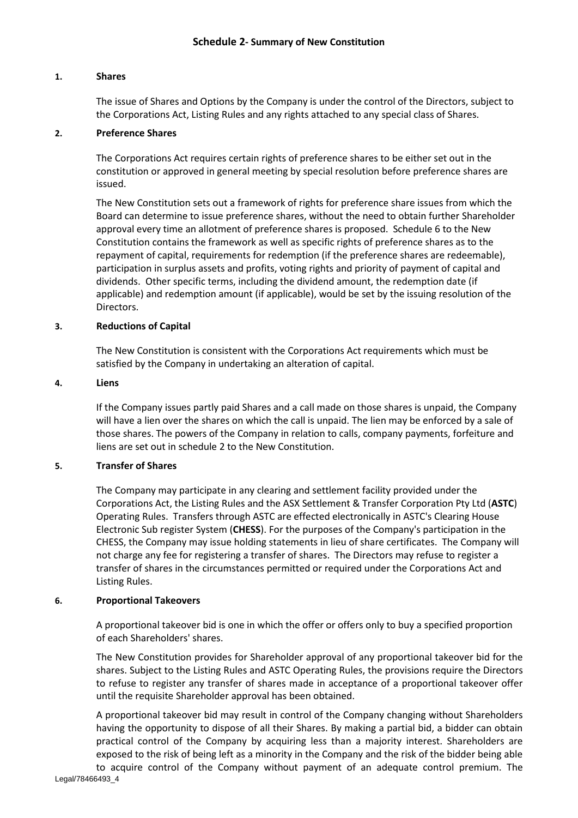## **1. Shares**

The issue of Shares and Options by the Company is under the control of the Directors, subject to the Corporations Act, Listing Rules and any rights attached to any special class of Shares.

## **2. Preference Shares**

The Corporations Act requires certain rights of preference shares to be either set out in the constitution or approved in general meeting by special resolution before preference shares are issued.

The New Constitution sets out a framework of rights for preference share issues from which the Board can determine to issue preference shares, without the need to obtain further Shareholder approval every time an allotment of preference shares is proposed. Schedule 6 to the New Constitution contains the framework as well as specific rights of preference shares as to the repayment of capital, requirements for redemption (if the preference shares are redeemable), participation in surplus assets and profits, voting rights and priority of payment of capital and dividends. Other specific terms, including the dividend amount, the redemption date (if applicable) and redemption amount (if applicable), would be set by the issuing resolution of the Directors.

## **3. Reductions of Capital**

The New Constitution is consistent with the Corporations Act requirements which must be satisfied by the Company in undertaking an alteration of capital.

## **4. Liens**

If the Company issues partly paid Shares and a call made on those shares is unpaid, the Company will have a lien over the shares on which the call is unpaid. The lien may be enforced by a sale of those shares. The powers of the Company in relation to calls, company payments, forfeiture and liens are set out in schedule 2 to the New Constitution.

## **5. Transfer of Shares**

The Company may participate in any clearing and settlement facility provided under the Corporations Act, the Listing Rules and the ASX Settlement & Transfer Corporation Pty Ltd (**ASTC**) Operating Rules. Transfers through ASTC are effected electronically in ASTC's Clearing House Electronic Sub register System (**CHESS**). For the purposes of the Company's participation in the CHESS, the Company may issue holding statements in lieu of share certificates. The Company will not charge any fee for registering a transfer of shares. The Directors may refuse to register a transfer of shares in the circumstances permitted or required under the Corporations Act and Listing Rules.

## **6. Proportional Takeovers**

A proportional takeover bid is one in which the offer or offers only to buy a specified proportion of each Shareholders' shares.

The New Constitution provides for Shareholder approval of any proportional takeover bid for the shares. Subject to the Listing Rules and ASTC Operating Rules, the provisions require the Directors to refuse to register any transfer of shares made in acceptance of a proportional takeover offer until the requisite Shareholder approval has been obtained.

A proportional takeover bid may result in control of the Company changing without Shareholders having the opportunity to dispose of all their Shares. By making a partial bid, a bidder can obtain practical control of the Company by acquiring less than a majority interest. Shareholders are exposed to the risk of being left as a minority in the Company and the risk of the bidder being able to acquire control of the Company without payment of an adequate control premium. The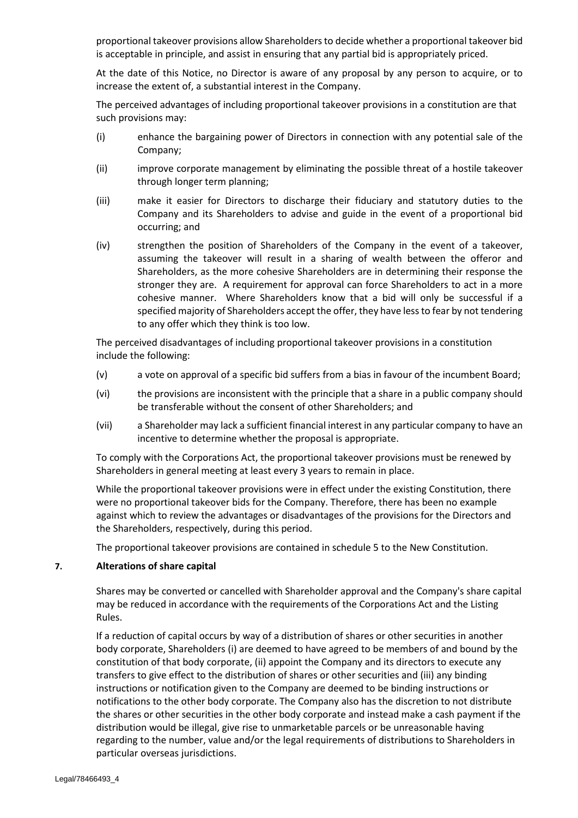proportional takeover provisions allow Shareholders to decide whether a proportional takeover bid is acceptable in principle, and assist in ensuring that any partial bid is appropriately priced.

At the date of this Notice, no Director is aware of any proposal by any person to acquire, or to increase the extent of, a substantial interest in the Company.

The perceived advantages of including proportional takeover provisions in a constitution are that such provisions may:

- (i) enhance the bargaining power of Directors in connection with any potential sale of the Company;
- (ii) improve corporate management by eliminating the possible threat of a hostile takeover through longer term planning;
- (iii) make it easier for Directors to discharge their fiduciary and statutory duties to the Company and its Shareholders to advise and guide in the event of a proportional bid occurring; and
- (iv) strengthen the position of Shareholders of the Company in the event of a takeover, assuming the takeover will result in a sharing of wealth between the offeror and Shareholders, as the more cohesive Shareholders are in determining their response the stronger they are. A requirement for approval can force Shareholders to act in a more cohesive manner. Where Shareholders know that a bid will only be successful if a specified majority of Shareholders accept the offer, they have less to fear by not tendering to any offer which they think is too low.

The perceived disadvantages of including proportional takeover provisions in a constitution include the following:

- (v) a vote on approval of a specific bid suffers from a bias in favour of the incumbent Board;
- (vi) the provisions are inconsistent with the principle that a share in a public company should be transferable without the consent of other Shareholders; and
- (vii) a Shareholder may lack a sufficient financial interest in any particular company to have an incentive to determine whether the proposal is appropriate.

To comply with the Corporations Act, the proportional takeover provisions must be renewed by Shareholders in general meeting at least every 3 years to remain in place.

While the proportional takeover provisions were in effect under the existing Constitution, there were no proportional takeover bids for the Company. Therefore, there has been no example against which to review the advantages or disadvantages of the provisions for the Directors and the Shareholders, respectively, during this period.

The proportional takeover provisions are contained in schedule 5 to the New Constitution.

## **7. Alterations of share capital**

Shares may be converted or cancelled with Shareholder approval and the Company's share capital may be reduced in accordance with the requirements of the Corporations Act and the Listing Rules.

If a reduction of capital occurs by way of a distribution of shares or other securities in another body corporate, Shareholders (i) are deemed to have agreed to be members of and bound by the constitution of that body corporate, (ii) appoint the Company and its directors to execute any transfers to give effect to the distribution of shares or other securities and (iii) any binding instructions or notification given to the Company are deemed to be binding instructions or notifications to the other body corporate. The Company also has the discretion to not distribute the shares or other securities in the other body corporate and instead make a cash payment if the distribution would be illegal, give rise to unmarketable parcels or be unreasonable having regarding to the number, value and/or the legal requirements of distributions to Shareholders in particular overseas jurisdictions.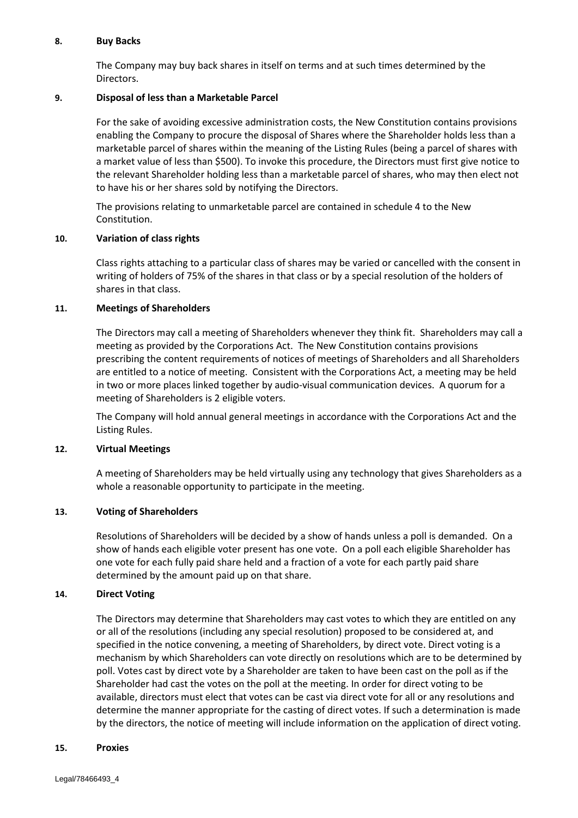## **8. Buy Backs**

The Company may buy back shares in itself on terms and at such times determined by the Directors.

## **9. Disposal of less than a Marketable Parcel**

For the sake of avoiding excessive administration costs, the New Constitution contains provisions enabling the Company to procure the disposal of Shares where the Shareholder holds less than a marketable parcel of shares within the meaning of the Listing Rules (being a parcel of shares with a market value of less than \$500). To invoke this procedure, the Directors must first give notice to the relevant Shareholder holding less than a marketable parcel of shares, who may then elect not to have his or her shares sold by notifying the Directors.

The provisions relating to unmarketable parcel are contained in schedule 4 to the New Constitution.

## **10. Variation of class rights**

Class rights attaching to a particular class of shares may be varied or cancelled with the consent in writing of holders of 75% of the shares in that class or by a special resolution of the holders of shares in that class.

## **11. Meetings of Shareholders**

The Directors may call a meeting of Shareholders whenever they think fit. Shareholders may call a meeting as provided by the Corporations Act. The New Constitution contains provisions prescribing the content requirements of notices of meetings of Shareholders and all Shareholders are entitled to a notice of meeting. Consistent with the Corporations Act, a meeting may be held in two or more places linked together by audio-visual communication devices. A quorum for a meeting of Shareholders is 2 eligible voters.

The Company will hold annual general meetings in accordance with the Corporations Act and the Listing Rules.

## **12. Virtual Meetings**

A meeting of Shareholders may be held virtually using any technology that gives Shareholders as a whole a reasonable opportunity to participate in the meeting.

## **13. Voting of Shareholders**

Resolutions of Shareholders will be decided by a show of hands unless a poll is demanded. On a show of hands each eligible voter present has one vote. On a poll each eligible Shareholder has one vote for each fully paid share held and a fraction of a vote for each partly paid share determined by the amount paid up on that share.

## **14. Direct Voting**

The Directors may determine that Shareholders may cast votes to which they are entitled on any or all of the resolutions (including any special resolution) proposed to be considered at, and specified in the notice convening, a meeting of Shareholders, by direct vote. Direct voting is a mechanism by which Shareholders can vote directly on resolutions which are to be determined by poll. Votes cast by direct vote by a Shareholder are taken to have been cast on the poll as if the Shareholder had cast the votes on the poll at the meeting. In order for direct voting to be available, directors must elect that votes can be cast via direct vote for all or any resolutions and determine the manner appropriate for the casting of direct votes. If such a determination is made by the directors, the notice of meeting will include information on the application of direct voting.

#### **15. Proxies**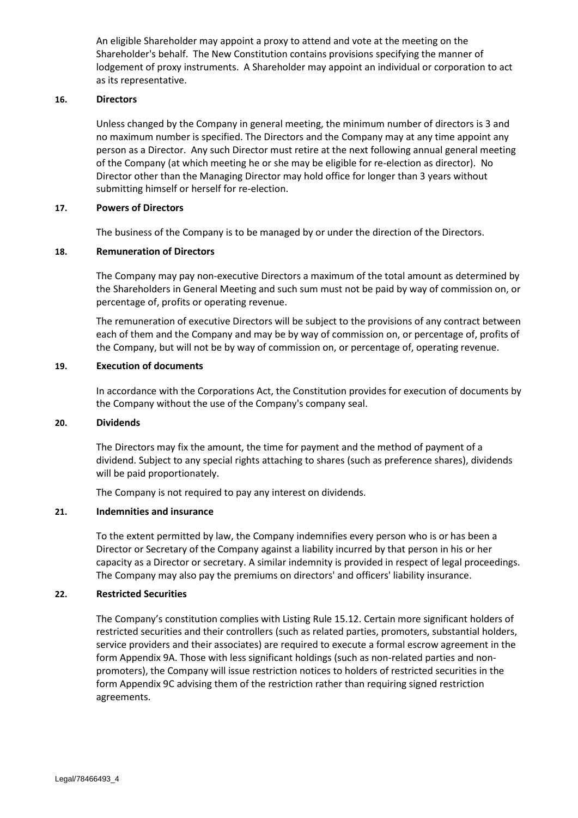An eligible Shareholder may appoint a proxy to attend and vote at the meeting on the Shareholder's behalf. The New Constitution contains provisions specifying the manner of lodgement of proxy instruments. A Shareholder may appoint an individual or corporation to act as its representative.

## **16. Directors**

Unless changed by the Company in general meeting, the minimum number of directors is 3 and no maximum number is specified. The Directors and the Company may at any time appoint any person as a Director. Any such Director must retire at the next following annual general meeting of the Company (at which meeting he or she may be eligible for re-election as director). No Director other than the Managing Director may hold office for longer than 3 years without submitting himself or herself for re-election.

## **17. Powers of Directors**

The business of the Company is to be managed by or under the direction of the Directors.

## **18. Remuneration of Directors**

The Company may pay non-executive Directors a maximum of the total amount as determined by the Shareholders in General Meeting and such sum must not be paid by way of commission on, or percentage of, profits or operating revenue.

The remuneration of executive Directors will be subject to the provisions of any contract between each of them and the Company and may be by way of commission on, or percentage of, profits of the Company, but will not be by way of commission on, or percentage of, operating revenue.

## **19. Execution of documents**

In accordance with the Corporations Act, the Constitution provides for execution of documents by the Company without the use of the Company's company seal.

#### **20. Dividends**

The Directors may fix the amount, the time for payment and the method of payment of a dividend. Subject to any special rights attaching to shares (such as preference shares), dividends will be paid proportionately.

The Company is not required to pay any interest on dividends.

## **21. Indemnities and insurance**

To the extent permitted by law, the Company indemnifies every person who is or has been a Director or Secretary of the Company against a liability incurred by that person in his or her capacity as a Director or secretary. A similar indemnity is provided in respect of legal proceedings. The Company may also pay the premiums on directors' and officers' liability insurance.

## **22. Restricted Securities**

The Company's constitution complies with Listing Rule 15.12. Certain more significant holders of restricted securities and their controllers (such as related parties, promoters, substantial holders, service providers and their associates) are required to execute a formal escrow agreement in the form Appendix 9A. Those with less significant holdings (such as non-related parties and nonpromoters), the Company will issue restriction notices to holders of restricted securities in the form Appendix 9C advising them of the restriction rather than requiring signed restriction agreements.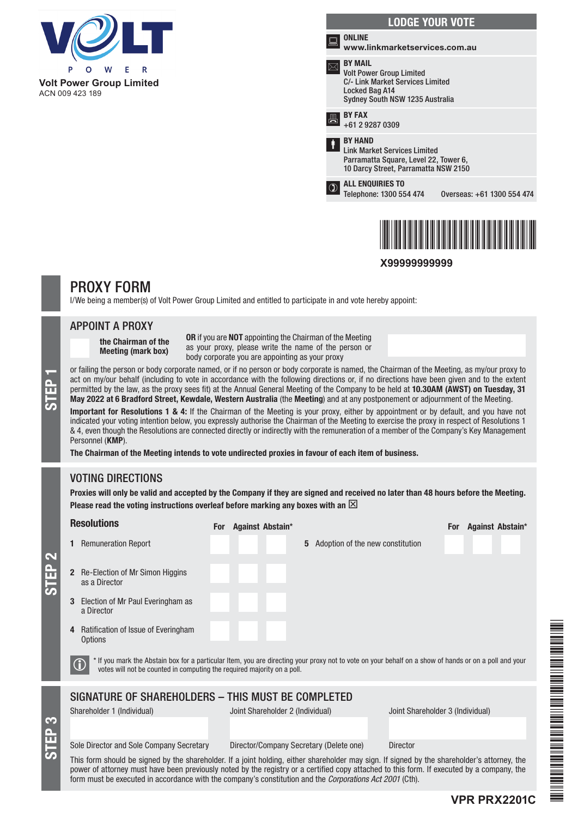

**Volt Power Group Limited** ACN 009 423 189

|        | <b>LODGE YOUR VOTE</b>                                                                                                                     |                            |
|--------|--------------------------------------------------------------------------------------------------------------------------------------------|----------------------------|
| فتتناه | <b>ONLINE</b><br>www.linkmarketservices.com.au                                                                                             |                            |
|        | <b>BY MAIL</b><br><b>Volt Power Group Limited</b><br>C/- Link Market Services Limited<br>Locked Bag A14<br>Sydney South NSW 1235 Australia |                            |
|        | <b>BY FAX</b><br>$+61292870309$                                                                                                            |                            |
| ŧ      | <b>BY HAND</b><br><b>Link Market Services Limited</b><br>Parramatta Square, Level 22, Tower 6,<br>10 Darcy Street, Parramatta NSW 2150     |                            |
|        | <b>ALL ENQUIRIES TO</b><br>Telephone: 1300 554 474                                                                                         | Overseas: +61 1300 554 474 |
|        |                                                                                                                                            |                            |

**X99999999999**

\*X99999999999\*

# PROXY FORM

I/We being a member(s) of Volt Power Group Limited and entitled to participate in and vote hereby appoint:

## APPOINT A PROXY

the Chairman of the Meeting (mark box)

OR if you are NOT appointing the Chairman of the Meeting as your proxy, please write the name of the person or body corporate you are appointing as your proxy

or failing the person or body corporate named, or if no person or body corporate is named, the Chairman of the Meeting, as my/our proxy to<br>act on my/our behalf (including to vote in accordance with the following directions act on my/our behalf (including to vote in accordance with the following directions or, if no directions have been given and to the extent permitted by the law, as the proxy sees fit) at the Annual General Meeting of the Company to be held at 10.30AM (AWST) on Tuesday, 31

Important for Resolutions 1 & 4: If the Chairman of the Meeting is your proxy, either by appointment or by default, and you have not indicated your voting intention below, you expressly authorise the Chairman of the Meeting to exercise the proxy in respect of Resolutions 1 & 4, even though the Resolutions are connected directly or indirectly with the remuneration of a member of the Company's Key Management Personnel (KMP).

The Chairman of the Meeting intends to vote undirected proxies in favour of each item of business.

## VOTING DIRECTIONS

STEP 3

STEP 2

Proxies will only be valid and accepted by the Company if they are signed and received no later than 48 hours before the Meeting. Please read the voting instructions overleaf before marking any boxes with an  $\boxtimes$ 

| <b>Resolutions</b>                                                                                                                                                                                                                                                                                                                                                                                            | For Against Abstain*                                       | Against Abstain*<br><b>For</b>   |  |  |
|---------------------------------------------------------------------------------------------------------------------------------------------------------------------------------------------------------------------------------------------------------------------------------------------------------------------------------------------------------------------------------------------------------------|------------------------------------------------------------|----------------------------------|--|--|
| <b>Remuneration Report</b>                                                                                                                                                                                                                                                                                                                                                                                    | <b>5</b> Adoption of the new constitution                  |                                  |  |  |
| Re-Election of Mr Simon Higgins<br>$\mathbf{2}$<br>as a Director                                                                                                                                                                                                                                                                                                                                              |                                                            |                                  |  |  |
| Election of Mr Paul Everingham as<br>3<br>a Director                                                                                                                                                                                                                                                                                                                                                          |                                                            |                                  |  |  |
| Ratification of Issue of Everingham<br>4<br><b>Options</b>                                                                                                                                                                                                                                                                                                                                                    |                                                            |                                  |  |  |
| * If you mark the Abstain box for a particular Item, you are directing your proxy not to vote on your behalf on a show of hands or on a poll and your<br>$\bf{G}$<br>votes will not be counted in computing the required majority on a poll.                                                                                                                                                                  |                                                            |                                  |  |  |
| SIGNATURE OF SHAREHOLDERS - THIS MUST BE COMPLETED                                                                                                                                                                                                                                                                                                                                                            |                                                            |                                  |  |  |
| Shareholder 1 (Individual)                                                                                                                                                                                                                                                                                                                                                                                    | Joint Shareholder 2 (Individual)                           | Joint Shareholder 3 (Individual) |  |  |
| Sole Director and Sole Company Secretary                                                                                                                                                                                                                                                                                                                                                                      | Director/Company Secretary (Delete one)<br><b>Director</b> |                                  |  |  |
| This form should be signed by the shareholder. If a joint holding, either shareholder may sign. If signed by the shareholder's attorney, the<br>power of attorney must have been previously noted by the registry or a certified copy attached to this form. If executed by a company, the<br>form must be executed in accordance with the company's constitution and the <i>Corporations Act 2001</i> (Cth). |                                                            |                                  |  |  |



**VPR PRX2201C**